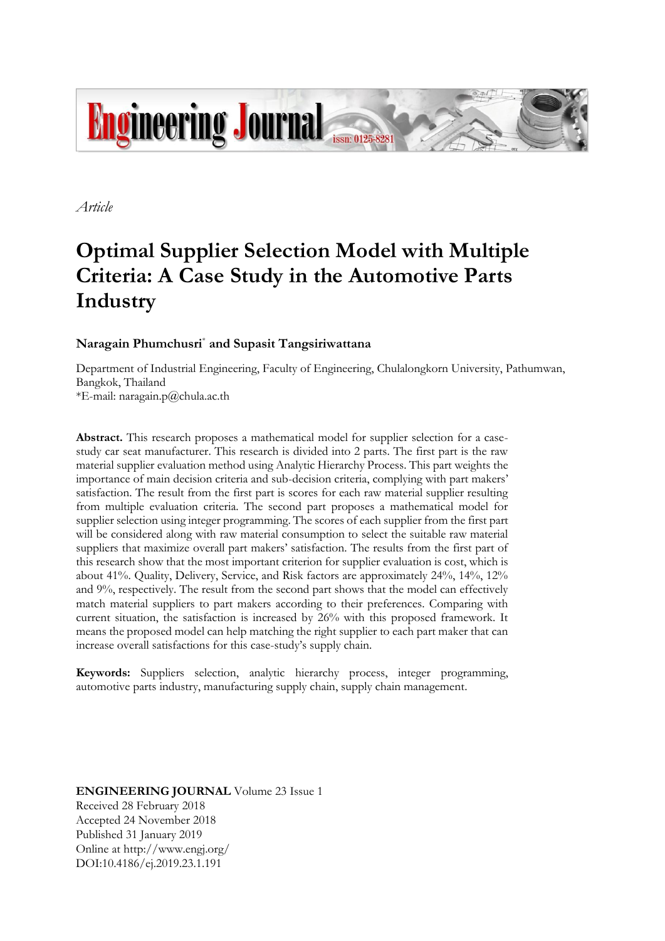

*Article*

# **Optimal Supplier Selection Model with Multiple Criteria: A Case Study in the Automotive Parts Industry**

## **Naragain Phumchusri**\* **and Supasit Tangsiriwattana**

Department of Industrial Engineering, Faculty of Engineering, Chulalongkorn University, Pathumwan, Bangkok, Thailand

\*E-mail: naragain.p@chula.ac.th

**Abstract.** This research proposes a mathematical model for supplier selection for a casestudy car seat manufacturer. This research is divided into 2 parts. The first part is the raw material supplier evaluation method using Analytic Hierarchy Process. This part weights the importance of main decision criteria and sub-decision criteria, complying with part makers' satisfaction. The result from the first part is scores for each raw material supplier resulting from multiple evaluation criteria. The second part proposes a mathematical model for supplier selection using integer programming. The scores of each supplier from the first part will be considered along with raw material consumption to select the suitable raw material suppliers that maximize overall part makers' satisfaction. The results from the first part of this research show that the most important criterion for supplier evaluation is cost, which is about 41%. Quality, Delivery, Service, and Risk factors are approximately 24%, 14%, 12% and 9%, respectively. The result from the second part shows that the model can effectively match material suppliers to part makers according to their preferences. Comparing with current situation, the satisfaction is increased by 26% with this proposed framework. It means the proposed model can help matching the right supplier to each part maker that can increase overall satisfactions for this case-study's supply chain.

**Keywords:** Suppliers selection, analytic hierarchy process, integer programming, automotive parts industry, manufacturing supply chain, supply chain management.

**ENGINEERING JOURNAL** Volume 23 Issue 1 Received 28 February 2018 Accepted 24 November 2018 Published 31 January 2019 Online at http://www.engj.org/ DOI:10.4186/ej.2019.23.1.191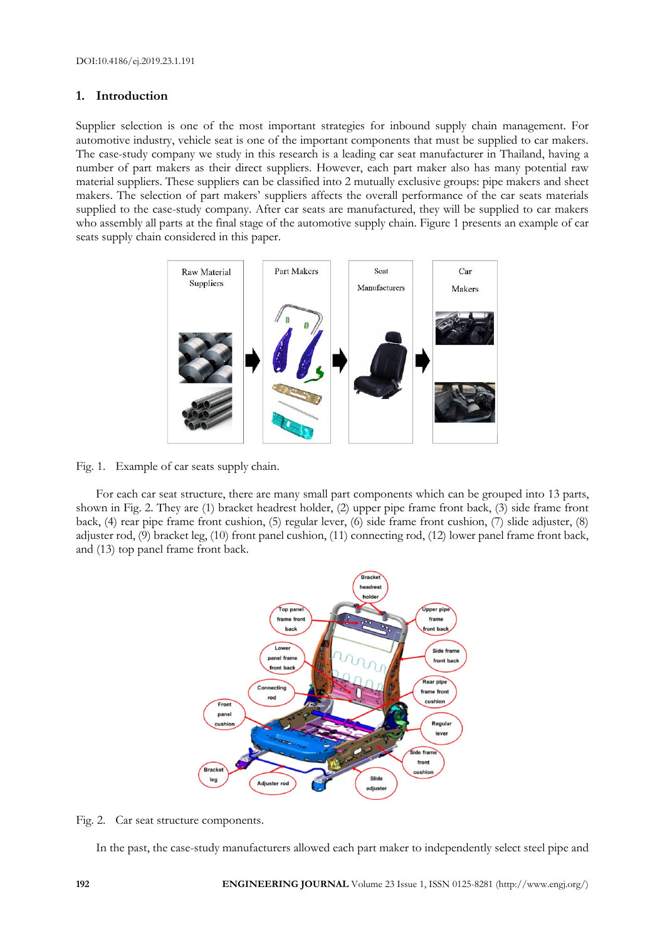## **1. Introduction**

Supplier selection is one of the most important strategies for inbound supply chain management. For automotive industry, vehicle seat is one of the important components that must be supplied to car makers. The case-study company we study in this research is a leading car seat manufacturer in Thailand, having a number of part makers as their direct suppliers. However, each part maker also has many potential raw material suppliers. These suppliers can be classified into 2 mutually exclusive groups: pipe makers and sheet makers. The selection of part makers' suppliers affects the overall performance of the car seats materials supplied to the case-study company. After car seats are manufactured, they will be supplied to car makers who assembly all parts at the final stage of the automotive supply chain. Figure 1 presents an example of car seats supply chain considered in this paper.



Fig. 1. Example of car seats supply chain.

For each car seat structure, there are many small part components which can be grouped into 13 parts, shown in Fig. 2. They are (1) bracket headrest holder, (2) upper pipe frame front back, (3) side frame front back, (4) rear pipe frame front cushion, (5) regular lever, (6) side frame front cushion, (7) slide adjuster, (8) adjuster rod, (9) bracket leg, (10) front panel cushion, (11) connecting rod, (12) lower panel frame front back, and (13) top panel frame front back.



Fig. 2. Car seat structure components.

In the past, the case-study manufacturers allowed each part maker to independently select steel pipe and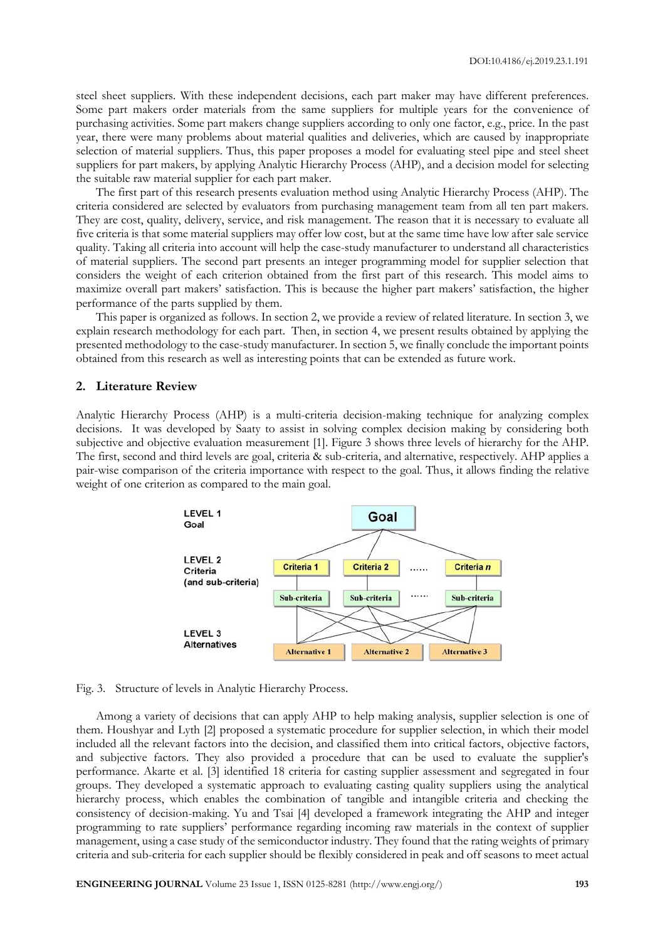steel sheet suppliers. With these independent decisions, each part maker may have different preferences. Some part makers order materials from the same suppliers for multiple years for the convenience of purchasing activities. Some part makers change suppliers according to only one factor, e.g., price. In the past year, there were many problems about material qualities and deliveries, which are caused by inappropriate selection of material suppliers. Thus, this paper proposes a model for evaluating steel pipe and steel sheet suppliers for part makers, by applying Analytic Hierarchy Process (AHP), and a decision model for selecting the suitable raw material supplier for each part maker.

The first part of this research presents evaluation method using Analytic Hierarchy Process (AHP). The criteria considered are selected by evaluators from purchasing management team from all ten part makers. They are cost, quality, delivery, service, and risk management. The reason that it is necessary to evaluate all five criteria is that some material suppliers may offer low cost, but at the same time have low after sale service quality. Taking all criteria into account will help the case-study manufacturer to understand all characteristics of material suppliers. The second part presents an integer programming model for supplier selection that considers the weight of each criterion obtained from the first part of this research. This model aims to maximize overall part makers' satisfaction. This is because the higher part makers' satisfaction, the higher performance of the parts supplied by them.

This paper is organized as follows. In section 2, we provide a review of related literature. In section 3, we explain research methodology for each part. Then, in section 4, we present results obtained by applying the presented methodology to the case-study manufacturer. In section 5, we finally conclude the important points obtained from this research as well as interesting points that can be extended as future work.

#### **2. Literature Review**

Analytic Hierarchy Process (AHP) is a multi-criteria decision-making technique for analyzing complex decisions. It was developed by Saaty to assist in solving complex decision making by considering both subjective and objective evaluation measurement [1]. Figure 3 shows three levels of hierarchy for the AHP. The first, second and third levels are goal, criteria & sub-criteria, and alternative, respectively. AHP applies a pair-wise comparison of the criteria importance with respect to the goal. Thus, it allows finding the relative weight of one criterion as compared to the main goal.



Fig. 3. Structure of levels in Analytic Hierarchy Process.

Among a variety of decisions that can apply AHP to help making analysis, supplier selection is one of them. Houshyar and Lyth [2] proposed a systematic procedure for supplier selection, in which their model included all the relevant factors into the decision, and classified them into critical factors, objective factors, and subjective factors. They also provided a procedure that can be used to evaluate the supplier's performance. Akarte et al. [3] identified 18 criteria for casting supplier assessment and segregated in four groups. They developed a systematic approach to evaluating casting quality suppliers using the analytical hierarchy process, which enables the combination of tangible and intangible criteria and checking the consistency of decision-making. Yu and Tsai [4] developed a framework integrating the AHP and integer programming to rate suppliers' performance regarding incoming raw materials in the context of supplier management, using a case study of the semiconductor industry. They found that the rating weights of primary criteria and sub-criteria for each supplier should be flexibly considered in peak and off seasons to meet actual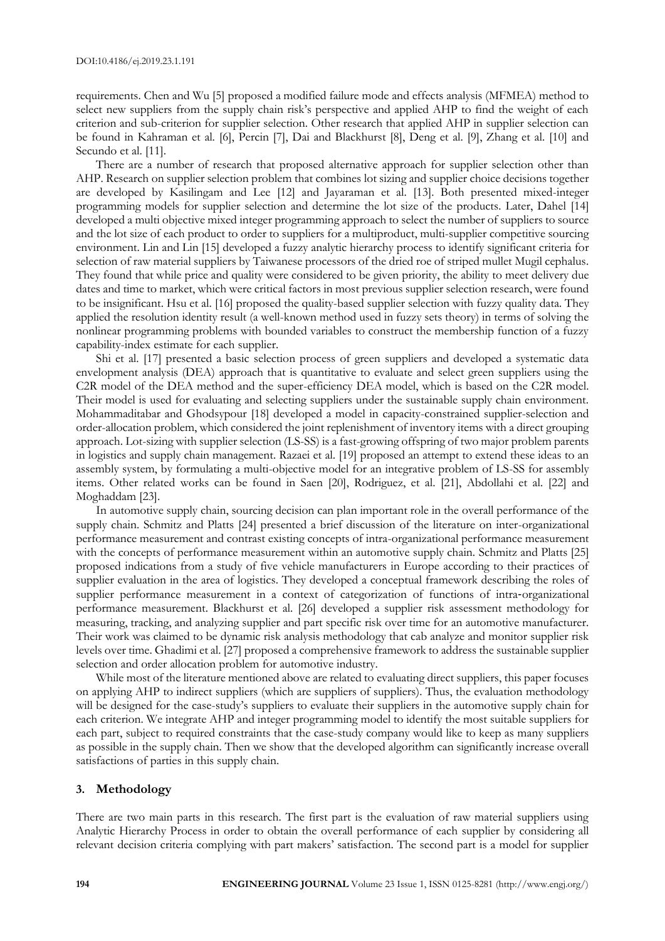requirements. Chen and Wu [5] proposed a modified failure mode and effects analysis (MFMEA) method to select new suppliers from the supply chain risk's perspective and applied AHP to find the weight of each criterion and sub-criterion for supplier selection. Other research that applied AHP in supplier selection can be found in Kahraman et al. [6], Percin [7], Dai and Blackhurst [8], Deng et al. [9], Zhang et al. [10] and Secundo et al. [11].

There are a number of research that proposed alternative approach for supplier selection other than AHP. Research on supplier selection problem that combines lot sizing and supplier choice decisions together are developed by Kasilingam and Lee [12] and Jayaraman et al. [13]. Both presented mixed-integer programming models for supplier selection and determine the lot size of the products. Later, Dahel [14] developed a multi objective mixed integer programming approach to select the number of suppliers to source and the lot size of each product to order to suppliers for a multiproduct, multi-supplier competitive sourcing environment. Lin and Lin [15] developed a fuzzy analytic hierarchy process to identify significant criteria for selection of raw material suppliers by Taiwanese processors of the dried roe of striped mullet Mugil cephalus. They found that while price and quality were considered to be given priority, the ability to meet delivery due dates and time to market, which were critical factors in most previous supplier selection research, were found to be insignificant. Hsu et al. [16] proposed the quality-based supplier selection with fuzzy quality data. They applied the resolution identity result (a well-known method used in fuzzy sets theory) in terms of solving the nonlinear programming problems with bounded variables to construct the membership function of a fuzzy capability-index estimate for each supplier.

Shi et al. [17] presented a basic selection process of green suppliers and developed a systematic data envelopment analysis (DEA) approach that is quantitative to evaluate and select green suppliers using the C2R model of the DEA method and the super-efficiency DEA model, which is based on the C2R model. Their model is used for evaluating and selecting suppliers under the sustainable supply chain environment. Mohammaditabar and Ghodsypour [18] developed a model in capacity-constrained supplier-selection and order-allocation problem, which considered the joint replenishment of inventory items with a direct grouping approach. Lot-sizing with supplier selection (LS-SS) is a fast-growing offspring of two major problem parents in logistics and supply chain management. Razaei et al. [19] proposed an attempt to extend these ideas to an assembly system, by formulating a multi-objective model for an integrative problem of LS-SS for assembly items. Other related works can be found in Saen [20], Rodriguez, et al. [21], Abdollahi et al. [22] and Moghaddam [23].

In automotive supply chain, sourcing decision can plan important role in the overall performance of the supply chain. Schmitz and Platts [24] presented a brief discussion of the literature on inter-organizational performance measurement and contrast existing concepts of intra-organizational performance measurement with the concepts of performance measurement within an automotive supply chain. Schmitz and Platts [25] proposed indications from a study of five vehicle manufacturers in Europe according to their practices of supplier evaluation in the area of logistics. They developed a conceptual framework describing the roles of supplier performance measurement in a context of categorization of functions of intra-organizational performance measurement. Blackhurst et al. [26] developed a supplier risk assessment methodology for measuring, tracking, and analyzing supplier and part specific risk over time for an automotive manufacturer. Their work was claimed to be dynamic risk analysis methodology that cab analyze and monitor supplier risk levels over time. Ghadimi et al. [27] proposed a comprehensive framework to address the sustainable supplier selection and order allocation problem for automotive industry.

While most of the literature mentioned above are related to evaluating direct suppliers, this paper focuses on applying AHP to indirect suppliers (which are suppliers of suppliers). Thus, the evaluation methodology will be designed for the case-study's suppliers to evaluate their suppliers in the automotive supply chain for each criterion. We integrate AHP and integer programming model to identify the most suitable suppliers for each part, subject to required constraints that the case-study company would like to keep as many suppliers as possible in the supply chain. Then we show that the developed algorithm can significantly increase overall satisfactions of parties in this supply chain.

## **3. Methodology**

There are two main parts in this research. The first part is the evaluation of raw material suppliers using Analytic Hierarchy Process in order to obtain the overall performance of each supplier by considering all relevant decision criteria complying with part makers' satisfaction. The second part is a model for supplier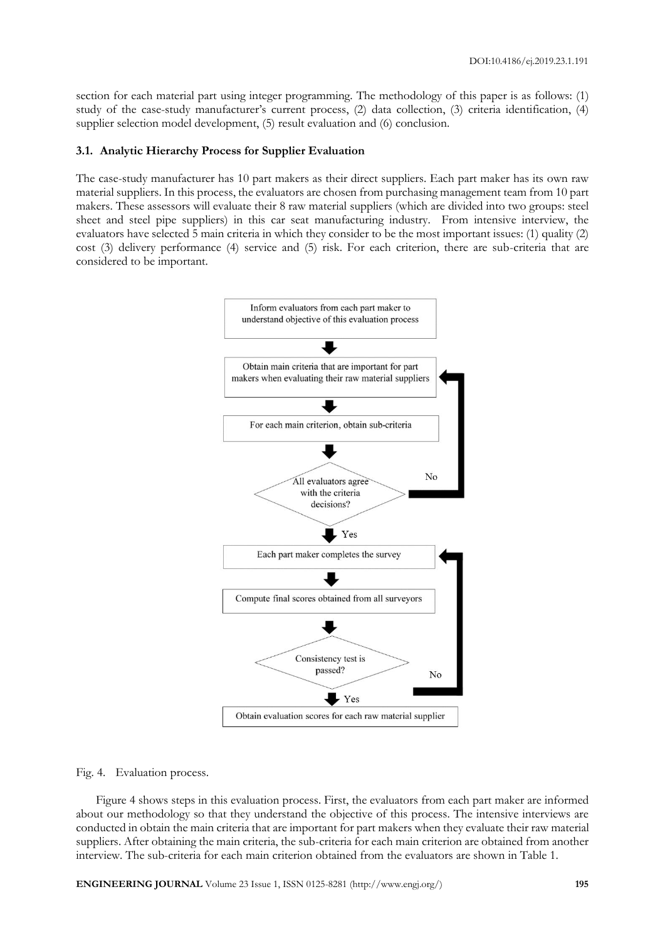section for each material part using integer programming. The methodology of this paper is as follows: (1) study of the case-study manufacturer's current process, (2) data collection, (3) criteria identification, (4) supplier selection model development, (5) result evaluation and (6) conclusion.

#### **3.1. Analytic Hierarchy Process for Supplier Evaluation**

The case-study manufacturer has 10 part makers as their direct suppliers. Each part maker has its own raw material suppliers. In this process, the evaluators are chosen from purchasing management team from 10 part makers. These assessors will evaluate their 8 raw material suppliers (which are divided into two groups: steel sheet and steel pipe suppliers) in this car seat manufacturing industry. From intensive interview, the evaluators have selected 5 main criteria in which they consider to be the most important issues: (1) quality (2) cost (3) delivery performance (4) service and (5) risk. For each criterion, there are sub-criteria that are considered to be important.



Fig. 4. Evaluation process.

Figure 4 shows steps in this evaluation process. First, the evaluators from each part maker are informed about our methodology so that they understand the objective of this process. The intensive interviews are conducted in obtain the main criteria that are important for part makers when they evaluate their raw material suppliers. After obtaining the main criteria, the sub-criteria for each main criterion are obtained from another interview. The sub-criteria for each main criterion obtained from the evaluators are shown in Table 1.

**ENGINEERING JOURNAL** Volume 23 Issue 1, ISSN 0125-8281 (http://www.engj.org/) **195**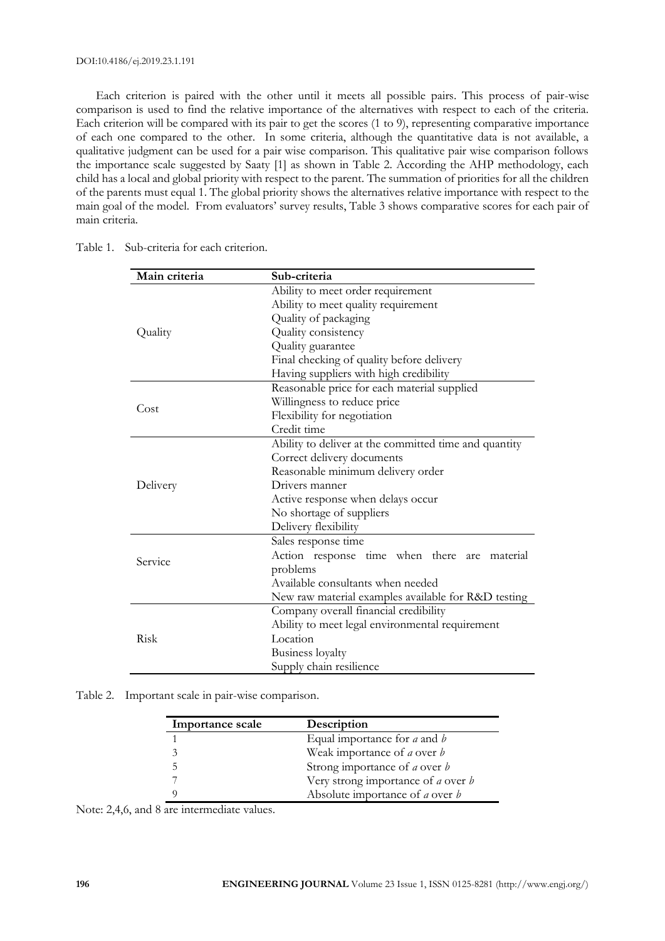#### DOI:10.4186/ej.2019.23.1.191

Each criterion is paired with the other until it meets all possible pairs. This process of pair-wise comparison is used to find the relative importance of the alternatives with respect to each of the criteria. Each criterion will be compared with its pair to get the scores (1 to 9), representing comparative importance of each one compared to the other. In some criteria, although the quantitative data is not available, a qualitative judgment can be used for a pair wise comparison. This qualitative pair wise comparison follows the importance scale suggested by Saaty [1] as shown in Table 2. According the AHP methodology, each child has a local and global priority with respect to the parent. The summation of priorities for all the children of the parents must equal 1. The global priority shows the alternatives relative importance with respect to the main goal of the model. From evaluators' survey results, Table 3 shows comparative scores for each pair of main criteria.

| Main criteria | Sub-criteria                                          |  |  |  |
|---------------|-------------------------------------------------------|--|--|--|
|               | Ability to meet order requirement                     |  |  |  |
|               | Ability to meet quality requirement                   |  |  |  |
|               | Quality of packaging                                  |  |  |  |
| Quality       | Quality consistency                                   |  |  |  |
|               | Quality guarantee                                     |  |  |  |
|               | Final checking of quality before delivery             |  |  |  |
|               | Having suppliers with high credibility                |  |  |  |
|               | Reasonable price for each material supplied           |  |  |  |
| Cost          | Willingness to reduce price                           |  |  |  |
|               | Flexibility for negotiation                           |  |  |  |
|               | Credit time                                           |  |  |  |
|               | Ability to deliver at the committed time and quantity |  |  |  |
|               | Correct delivery documents                            |  |  |  |
|               | Reasonable minimum delivery order                     |  |  |  |
| Delivery      | Drivers manner                                        |  |  |  |
|               | Active response when delays occur                     |  |  |  |
|               | No shortage of suppliers                              |  |  |  |
|               | Delivery flexibility                                  |  |  |  |
|               | Sales response time                                   |  |  |  |
| Service       | Action response time when there<br>are material       |  |  |  |
|               | problems                                              |  |  |  |
|               | Available consultants when needed                     |  |  |  |
|               | New raw material examples available for R&D testing   |  |  |  |
|               | Company overall financial credibility                 |  |  |  |
|               | Ability to meet legal environmental requirement       |  |  |  |
| Risk          | Location                                              |  |  |  |
|               | Business loyalty                                      |  |  |  |
|               | Supply chain resilience                               |  |  |  |

Table 1. Sub-criteria for each criterion.

Table 2. Important scale in pair-wise comparison.

| <b>Importance scale</b> | Description                                      |
|-------------------------|--------------------------------------------------|
|                         | Equal importance for $a$ and $b$                 |
|                         | Weak importance of <i>a</i> over <i>b</i>        |
|                         | Strong importance of <i>a</i> over <i>b</i>      |
|                         | Very strong importance of <i>a</i> over <i>b</i> |
|                         | Absolute importance of <i>a</i> over <i>b</i>    |

Note: 2,4,6, and 8 are intermediate values.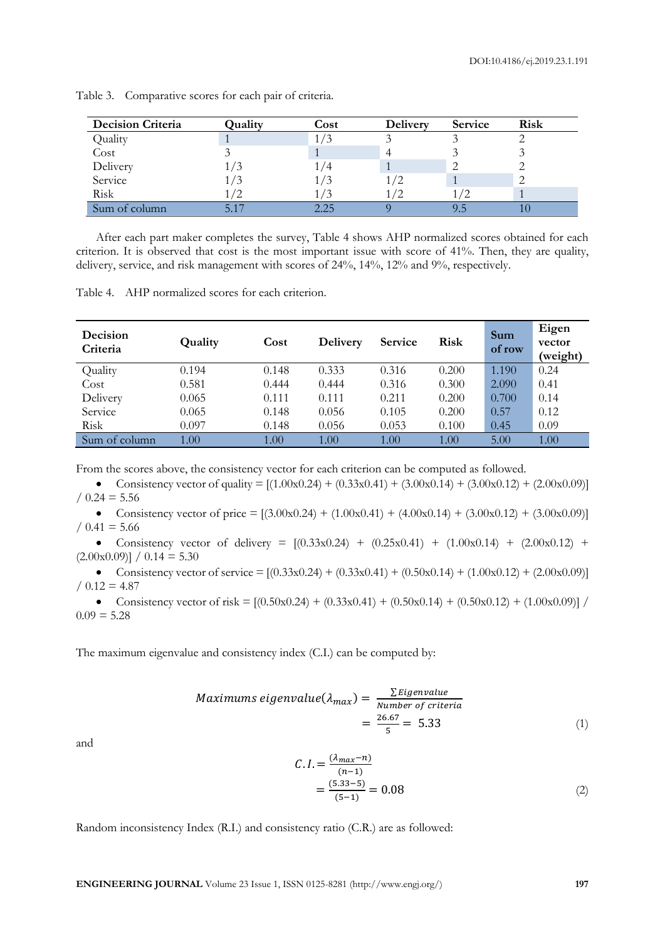| <b>Decision Criteria</b> | Quality | Cost | <b>Delivery</b> | Service | <b>Risk</b> |
|--------------------------|---------|------|-----------------|---------|-------------|
| Quality                  |         |      |                 |         |             |
| Cost                     |         |      |                 |         |             |
| Delivery                 | 1/3     |      |                 |         |             |
| Service                  | l / 3   |      |                 |         |             |
| Risk                     | /2      |      |                 |         |             |
| Sum of column            |         | つつら  |                 |         |             |

Table 3. Comparative scores for each pair of criteria.

After each part maker completes the survey, Table 4 shows AHP normalized scores obtained for each criterion. It is observed that cost is the most important issue with score of 41%. Then, they are quality, delivery, service, and risk management with scores of 24%, 14%, 12% and 9%, respectively.

Table 4. AHP normalized scores for each criterion.

| Decision<br>Criteria | Quality | Cost  | <b>Delivery</b> | <b>Service</b> | <b>Risk</b> | Sum<br>of row | Eigen<br>vector<br>(weight) |
|----------------------|---------|-------|-----------------|----------------|-------------|---------------|-----------------------------|
| Quality              | 0.194   | 0.148 | 0.333           | 0.316          | 0.200       | 1.190         | 0.24                        |
| Cost                 | 0.581   | 0.444 | 0.444           | 0.316          | 0.300       | 2.090         | 0.41                        |
| Delivery             | 0.065   | 0.111 | 0.111           | 0.211          | 0.200       | 0.700         | 0.14                        |
| Service              | 0.065   | 0.148 | 0.056           | 0.105          | 0.200       | 0.57          | 0.12                        |
| Risk                 | 0.097   | 0.148 | 0.056           | 0.053          | 0.100       | 0.45          | 0.09                        |
| Sum of column        | 1.00    | 1.00  | 1.00            | 1.00           | 1.00        | 5.00          | 1.00                        |

From the scores above, the consistency vector for each criterion can be computed as followed.

• Consistency vector of quality =  $[(1.00 \times 0.24) + (0.33 \times 0.41) + (3.00 \times 0.14) + (3.00 \times 0.12) + (2.00 \times 0.09)]$  $/ 0.24 = 5.56$ 

Consistency vector of price =  $[(3.00x0.24) + (1.00x0.41) + (4.00x0.14) + (3.00x0.12) + (3.00x0.09)]$  $/ 0.41 = 5.66$ 

• Consistency vector of delivery =  $[(0.33 \times 0.24) + (0.25 \times 0.41) + (1.00 \times 0.14) + (2.00 \times 0.12)$  +  $(2.00 \times 0.09)$ ] /  $0.14 = 5.30$ 

• Consistency vector of service =  $[(0.33 \times 0.24) + (0.33 \times 0.41) + (0.50 \times 0.14) + (1.00 \times 0.12) + (2.00 \times 0.09)]$  $/ 0.12 = 4.87$ 

• Consistency vector of risk =  $[(0.50x0.24) + (0.33x0.41) + (0.50x0.14) + (0.50x0.12) + (1.00x0.09)]/$  $0.09 = 5.28$ 

The maximum eigenvalue and consistency index (C.I.) can be computed by:

$$
Maximums eigenvalue (\lambda_{max}) = \frac{\sum Eigenvalue}{Number of criteria}
$$
  
=  $\frac{26.67}{5} = 5.33$  (1)

and

$$
C.I. = \frac{(\lambda_{max} - n)}{(n-1)} = \frac{(5.33 - 5)}{(5-1)} = 0.08
$$
 (2)

Random inconsistency Index (R.I.) and consistency ratio (C.R.) are as followed:

**ENGINEERING JOURNAL** Volume 23 Issue 1, ISSN 0125-8281 (http://www.engj.org/) **197**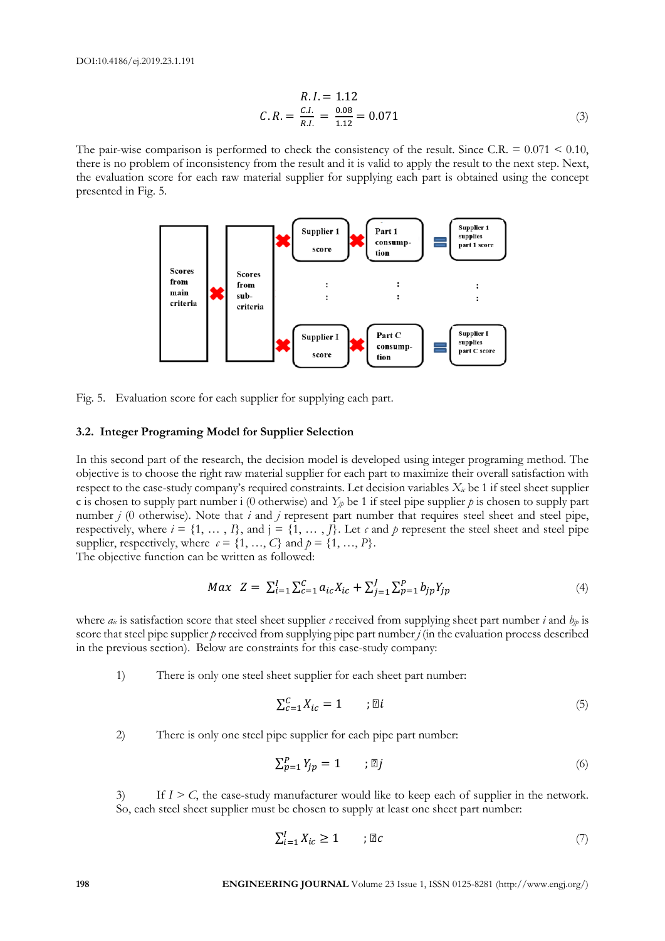$$
R.I. = 1.12
$$
  
\n
$$
C.R. = \frac{C.I.}{R.I.} = \frac{0.08}{1.12} = 0.071
$$
\n(3)

The pair-wise comparison is performed to check the consistency of the result. Since C.R.  $= 0.071 \le 0.10$ , there is no problem of inconsistency from the result and it is valid to apply the result to the next step. Next, the evaluation score for each raw material supplier for supplying each part is obtained using the concept presented in Fig. 5.



Fig. 5. Evaluation score for each supplier for supplying each part.

#### **3.2. Integer Programing Model for Supplier Selection**

In this second part of the research, the decision model is developed using integer programing method. The objective is to choose the right raw material supplier for each part to maximize their overall satisfaction with respect to the case-study company's required constraints. Let decision variables *Xic* be 1 if steel sheet supplier c is chosen to supply part number i (0 otherwise) and  $Y_p$  be 1 if steel pipe supplier  $p$  is chosen to supply part number *j* (0 otherwise). Note that *i* and *j* represent part number that requires steel sheet and steel pipe, respectively, where  $i = \{1, \ldots, I\}$ , and  $j = \{1, \ldots, J\}$ . Let *c* and *p* represent the steel sheet and steel pipe supplier, respectively, where  $c = \{1, ..., C\}$  and  $p = \{1, ..., P\}$ .

The objective function can be written as followed:

$$
Max \ \ Z = \ \sum_{i=1}^{I} \sum_{c=1}^{C} a_{ic} X_{ic} + \sum_{j=1}^{J} \sum_{p=1}^{P} b_{jp} Y_{jp} \tag{4}
$$

where  $a_k$  is satisfaction score that steel sheet supplier *c* received from supplying sheet part number *i* and  $b_p$  is score that steel pipe supplier *p* received from supplying pipe part number *j* (in the evaluation process described in the previous section). Below are constraints for this case-study company:

1) There is only one steel sheet supplier for each sheet part number:

$$
\sum_{c=1}^{C} X_{ic} = 1 \qquad ; \mathbb{Z}i \tag{5}
$$

2) There is only one steel pipe supplier for each pipe part number:

$$
\sum_{p=1}^{P} Y_{jp} = 1 \qquad ; \mathbb{Z}j \tag{6}
$$

3) If *I > C*, the case-study manufacturer would like to keep each of supplier in the network. So, each steel sheet supplier must be chosen to supply at least one sheet part number:

$$
\sum_{i=1}^{I} X_{ic} \ge 1 \qquad ; \mathbb{Z}c \tag{7}
$$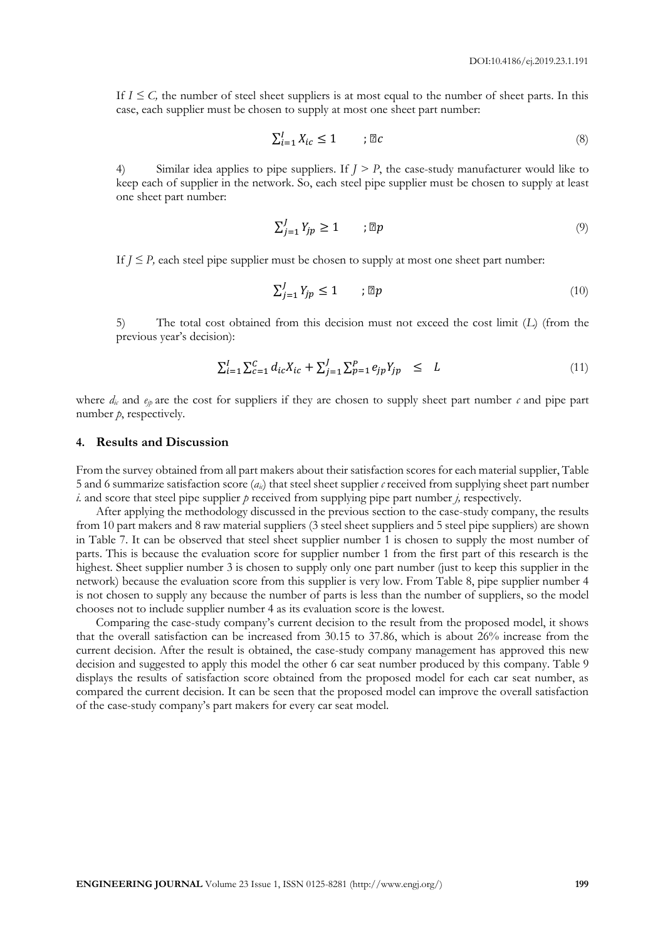If  $I \leq C$ , the number of steel sheet suppliers is at most equal to the number of sheet parts. In this case, each supplier must be chosen to supply at most one sheet part number:

$$
\sum_{i=1}^{I} X_{ic} \le 1 \qquad ; \mathbb{Z}c \tag{8}
$$

4) Similar idea applies to pipe suppliers. If *J > P*, the case-study manufacturer would like to keep each of supplier in the network. So, each steel pipe supplier must be chosen to supply at least one sheet part number:

$$
\sum_{j=1}^{J} Y_{jp} \ge 1 \qquad ; \mathbb{Z}p \tag{9}
$$

If  $J \leq P$ , each steel pipe supplier must be chosen to supply at most one sheet part number:

$$
\sum_{j=1}^{J} Y_{jp} \le 1 \qquad ; \mathbb{Z}p \tag{10}
$$

5) The total cost obtained from this decision must not exceed the cost limit (*L*) (from the previous year's decision):

$$
\sum_{i=1}^{I} \sum_{c=1}^{C} d_{ic} X_{ic} + \sum_{j=1}^{J} \sum_{p=1}^{P} e_{jp} Y_{jp} \le L \tag{11}
$$

where  $d_k$  and  $e_{ik}$  are the cost for suppliers if they are chosen to supply sheet part number  $c$  and pipe part number *p*, respectively.

#### **4. Results and Discussion**

From the survey obtained from all part makers about their satisfaction scores for each material supplier, Table 5 and 6 summarize satisfaction score  $(a_i)$  that steel sheet supplier *c* received from supplying sheet part number *i.* and score that steel pipe supplier *p* received from supplying pipe part number *j,* respectively.

After applying the methodology discussed in the previous section to the case-study company, the results from 10 part makers and 8 raw material suppliers (3 steel sheet suppliers and 5 steel pipe suppliers) are shown in Table 7. It can be observed that steel sheet supplier number 1 is chosen to supply the most number of parts. This is because the evaluation score for supplier number 1 from the first part of this research is the highest. Sheet supplier number 3 is chosen to supply only one part number (just to keep this supplier in the network) because the evaluation score from this supplier is very low. From Table 8, pipe supplier number 4 is not chosen to supply any because the number of parts is less than the number of suppliers, so the model chooses not to include supplier number 4 as its evaluation score is the lowest.

Comparing the case-study company's current decision to the result from the proposed model, it shows that the overall satisfaction can be increased from 30.15 to 37.86, which is about 26% increase from the current decision. After the result is obtained, the case-study company management has approved this new decision and suggested to apply this model the other 6 car seat number produced by this company. Table 9 displays the results of satisfaction score obtained from the proposed model for each car seat number, as compared the current decision. It can be seen that the proposed model can improve the overall satisfaction of the case-study company's part makers for every car seat model.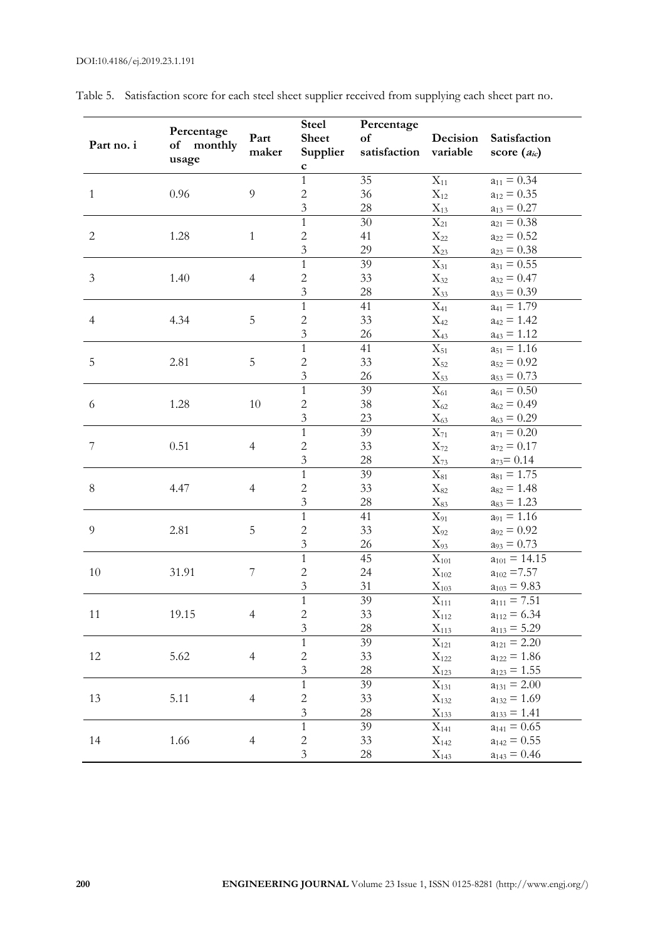| Part no. i       | Percentage<br>of<br>monthly<br>usage | Part<br>maker    | <b>Steel</b><br><b>Sheet</b><br>Supplier<br>$\mathbf c$ | Percentage<br>of<br>satisfaction | Decision<br>variable                                                      | Satisfaction<br>score $(a_{ic})$                          |
|------------------|--------------------------------------|------------------|---------------------------------------------------------|----------------------------------|---------------------------------------------------------------------------|-----------------------------------------------------------|
| $\mathbf{1}$     | 0.96                                 | 9                | $\mathbf{1}$<br>$\overline{c}$<br>$\overline{3}$        | 35<br>36<br>28                   | $\mathbf{X}_{11}$<br>$X_{12}$<br>$X_{13}$                                 | $a_{11} = 0.34$<br>$a_{12} = 0.35$<br>$a_{13} = 0.27$     |
| $\sqrt{2}$       | 1.28                                 | $\mathbf{1}$     | $\mathbf{1}$<br>$\overline{c}$<br>$\overline{3}$        | $30\,$<br>41<br>29               | $\overline{X_{21}}$<br>$X_{22}$<br>$X_{23}$                               | $a_{21} = 0.38$<br>$a_{22} = 0.52$<br>$a_{23} = 0.38$     |
| $\mathfrak{Z}$   | 1.40                                 | $\overline{4}$   | $\mathbf{1}$<br>$\overline{c}$<br>$\overline{3}$        | 39<br>33<br>28                   | $X_{31}$<br>$X_{32}$<br>$X_{33}$                                          | $a_{31} = 0.55$<br>$a_{32} = 0.47$<br>$a_{33} = 0.39$     |
| $\overline{4}$   | 4.34                                 | $\mathbf 5$      | $\mathbf{1}$<br>$\overline{c}$<br>$\overline{3}$        | 41<br>33<br>26                   | $X_{41}$<br>$\mathrm{X}_{42}$<br>$X_{43}$                                 | $a_{41} = 1.79$<br>$a_{42} = 1.42$<br>$a_{43} = 1.12$     |
| $\mathbf 5$      | 2.81                                 | $\mathbf 5$      | $\overline{1}$<br>$\overline{c}$<br>$\overline{3}$      | 41<br>33<br>26                   | $X_{51}$<br>$X_{52}$<br>$X_{53}$                                          | $a_{51} = 1.16$<br>$a_{52} = 0.92$<br>$a_{53} = 0.73$     |
| $\sqrt{6}$       | 1.28                                 | 10               | $\overline{1}$<br>$\overline{c}$<br>$\overline{3}$      | 39<br>38<br>23                   | $\overline{X_{61}}$<br>$X_{62}$<br>$X_{63}$                               | $a_{61} = 0.50$<br>$a_{62} = 0.49$<br>$a_{63} = 0.29$     |
| $\boldsymbol{7}$ | 0.51                                 | $\overline{4}$   | $\mathbf{1}$<br>$\overline{c}$<br>$\mathfrak{Z}$        | 39<br>33<br>28                   | $X_{71}$<br>$X_{72}$<br>$X_{73}$                                          | $a_{71} = 0.20$<br>$a_{72} = 0.17$<br>$a_{73} = 0.14$     |
| $8\,$            | 4.47                                 | $\overline{4}$   | $\mathbf{1}$<br>$\overline{2}$<br>$\overline{3}$        | 39<br>33<br>28                   | $\overline{X_{81}}$<br>$X_{82}$<br>$\mathrm{X}_{83}$                      | $a_{81} = 1.75$<br>$a_{82} = 1.48$<br>$a_{83} = 1.23$     |
| $\overline{9}$   | 2.81                                 | $\mathbf 5$      | $\mathbf{1}$<br>$\overline{c}$<br>$\overline{3}$        | 41<br>33<br>26                   | $\mathbf{X}_{91}$<br>$X_{92}$<br>$X_{93}$                                 | $a_{91} = 1.16$<br>$a_{92} = 0.92$<br>$a_{93} = 0.73$     |
| 10               | 31.91                                | $\boldsymbol{7}$ | $\mathbf{1}$<br>$\overline{c}$<br>$\overline{3}$        | 45<br>24<br>31                   | $\overline{\mathrm{X}}_{101}$<br>$\mathbf{X}_{102}$<br>$\mathbf{X}_{103}$ | $a_{101} = 14.15$<br>$a_{102} = 7.57$<br>$a_{103} = 9.83$ |
| 11               | 19.15                                | 4                | $\overline{1}$<br>$\overline{2}$<br>$\mathfrak{Z}$      | 39<br>33<br>28                   | $X_{111}$<br>$X_{112}$<br>$X_{113}$                                       | $a_{111} = 7.51$<br>$a_{112} = 6.34$<br>$a_{113} = 5.29$  |
| 12               | 5.62                                 | $\overline{4}$   | 1<br>$\overline{c}$<br>$\mathfrak{Z}$                   | 39<br>33<br>28                   | $X_{121}$<br>$X_{122}$<br>$X_{123}$                                       | $a_{121} = 2.20$<br>$a_{122} = 1.86$<br>$a_{123} = 1.55$  |
| 13               | 5.11                                 | $\overline{4}$   | $\mathbf{1}$<br>$\overline{c}$<br>$\overline{3}$        | 39<br>33<br>28                   | $X_{131}$<br>$X_{132}$<br>$X_{133}$                                       | $a_{131} = 2.00$<br>$a_{132} = 1.69$<br>$a_{133} = 1.41$  |
| 14               | 1.66                                 | $\overline{4}$   | $\mathbf{1}$<br>$\overline{c}$<br>$\mathfrak{Z}$        | 39<br>33<br>28                   | $X_{141}$<br>$X_{142}$<br>$X_{143}$                                       | $a_{141} = 0.65$<br>$a_{142} = 0.55$<br>$a_{143} = 0.46$  |

Table 5. Satisfaction score for each steel sheet supplier received from supplying each sheet part no.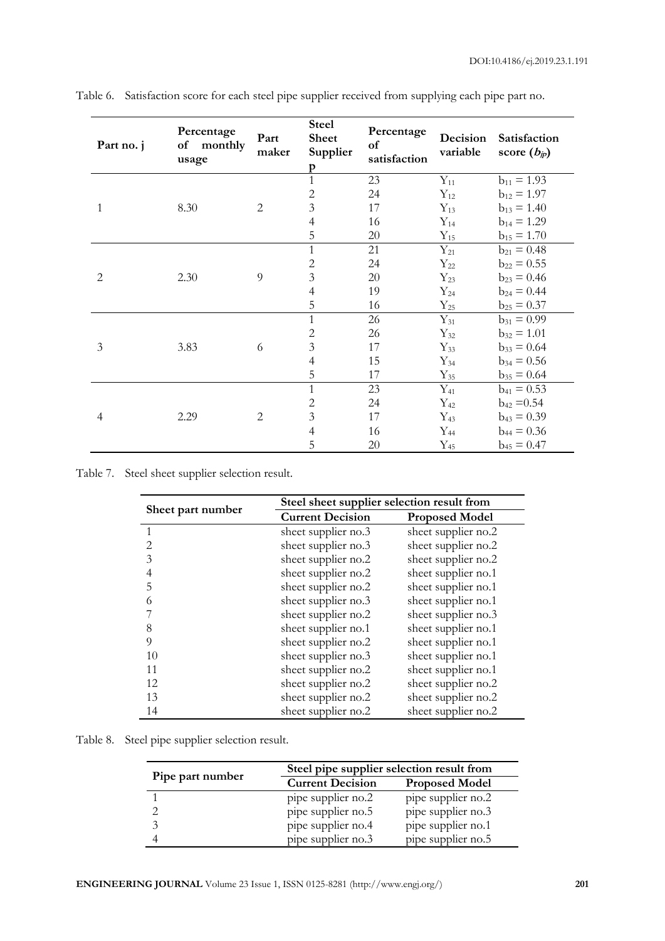| Part no. j               | Percentage<br>of monthly<br>usage | Part<br>maker  | <b>Steel</b><br><b>Sheet</b><br>Supplier<br>p | Percentage<br>of<br>satisfaction | Decision<br>variable | Satisfaction<br>score $(b_{jp})$ |
|--------------------------|-----------------------------------|----------------|-----------------------------------------------|----------------------------------|----------------------|----------------------------------|
|                          |                                   |                | $\mathbf{1}$                                  | 23                               | $Y_{11}$             | $b_{11} = 1.93$                  |
|                          |                                   |                | $\sqrt{2}$                                    | 24                               | $Y_{12}$             | $b_{12} = 1.97$                  |
| 1                        | 8.30                              | $\overline{2}$ | $\overline{3}$                                | 17                               | $Y_{13}$             | $b_{13} = 1.40$                  |
|                          |                                   |                | $\overline{4}$                                | 16                               | $Y_{14}$             | $b_{14} = 1.29$                  |
|                          |                                   |                | 5                                             | 20                               | $Y_{15}$             | $b_{15} = 1.70$                  |
|                          |                                   |                | $\mathbf{1}$                                  | 21                               | $Y_{21}$             | $b_{21} = 0.48$                  |
|                          |                                   |                | $\sqrt{2}$                                    | 24                               | $Y_{22}$             | $b_{22} = 0.55$                  |
| $\overline{2}$           | 2.30                              | 9              | $\overline{3}$                                | 20                               | $Y_{23}$             | $b_{23} = 0.46$                  |
|                          |                                   |                | $\overline{4}$                                | 19                               | $Y_{24}$             | $b_{24} = 0.44$                  |
|                          |                                   |                | 5                                             | 16                               | $Y_{25}$             | $b_{25} = 0.37$                  |
|                          | 3.83                              | 6              | $\mathbf{1}$                                  | 26                               | $Y_{31}$             | $b_{31} = 0.99$                  |
|                          |                                   |                | $\mathbf{2}$                                  | 26                               | $Y_{32}$             | $b_{32} = 1.01$                  |
| $\mathfrak{Z}$           |                                   |                | $\overline{3}$                                | 17                               | $Y_{33}$             | $b_{33} = 0.64$                  |
|                          |                                   |                | $\overline{4}$                                | 15                               | $Y_{34}$             | $b_{34} = 0.56$                  |
|                          |                                   |                | 5                                             | 17                               | $Y_{35}$             | $b_{35} = 0.64$                  |
| $\overline{\mathcal{A}}$ |                                   |                | $\mathbf{1}$                                  | 23                               | $Y_{41}$             | $b_{41} = 0.53$                  |
|                          |                                   |                | $\sqrt{2}$                                    | 24                               | $Y_{42}$             | $b_{42} = 0.54$                  |
|                          | 2.29                              | $\overline{2}$ | 3                                             | 17                               | $Y_{43}$             | $b_{43} = 0.39$                  |
|                          |                                   |                | $\overline{4}$                                | 16                               | $Y_{44}$             | $b_{44} = 0.36$                  |
|                          |                                   |                | 5                                             | $20\,$                           | $Y_{45}$             | $b_{45} = 0.47$                  |

Table 6. Satisfaction score for each steel pipe supplier received from supplying each pipe part no.

Table 7. Steel sheet supplier selection result.

|                   | Steel sheet supplier selection result from |                       |  |  |
|-------------------|--------------------------------------------|-----------------------|--|--|
| Sheet part number | <b>Current Decision</b>                    | <b>Proposed Model</b> |  |  |
| $\mathbf{1}$      | sheet supplier no.3                        | sheet supplier no.2   |  |  |
| $\overline{2}$    | sheet supplier no.3                        | sheet supplier no.2   |  |  |
| 3                 | sheet supplier no.2                        | sheet supplier no.2   |  |  |
| $\overline{4}$    | sheet supplier no.2                        | sheet supplier no.1   |  |  |
| 5                 | sheet supplier no.2                        | sheet supplier no.1   |  |  |
| 6                 | sheet supplier no.3                        | sheet supplier no.1   |  |  |
|                   | sheet supplier no.2                        | sheet supplier no.3   |  |  |
| 8                 | sheet supplier no.1                        | sheet supplier no.1   |  |  |
| 9                 | sheet supplier no.2                        | sheet supplier no.1   |  |  |
| 10                | sheet supplier no.3                        | sheet supplier no.1   |  |  |
| 11                | sheet supplier no.2                        | sheet supplier no.1   |  |  |
| 12                | sheet supplier no.2                        | sheet supplier no.2   |  |  |
| 13                | sheet supplier no.2                        | sheet supplier no.2   |  |  |
| 14                | sheet supplier no.2                        | sheet supplier no.2   |  |  |

Table 8. Steel pipe supplier selection result.

| Pipe part number | Steel pipe supplier selection result from |                       |  |  |
|------------------|-------------------------------------------|-----------------------|--|--|
|                  | <b>Current Decision</b>                   | <b>Proposed Model</b> |  |  |
|                  | pipe supplier no.2                        | pipe supplier no.2    |  |  |
|                  | pipe supplier no.5                        | pipe supplier no.3    |  |  |
|                  | pipe supplier no.4                        | pipe supplier no.1    |  |  |
|                  | pipe supplier no.3                        | pipe supplier no.5    |  |  |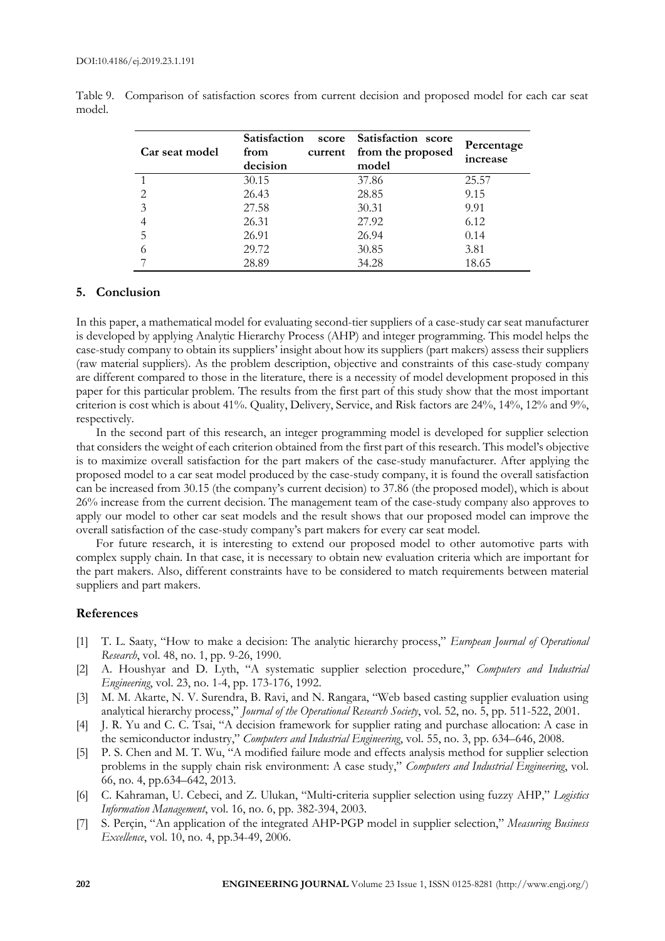| Car seat model | <b>Satisfaction</b><br>score<br>from<br>current<br>decision | Satisfaction score<br>from the proposed<br>model | Percentage<br>increase |
|----------------|-------------------------------------------------------------|--------------------------------------------------|------------------------|
|                | 30.15                                                       | 37.86                                            | 25.57                  |
|                | 26.43                                                       | 28.85                                            | 9.15                   |
| 3              | 27.58                                                       | 30.31                                            | 9.91                   |
|                | 26.31                                                       | 27.92                                            | 6.12                   |
|                | 26.91                                                       | 26.94                                            | 0.14                   |
|                | 29.72                                                       | 30.85                                            | 3.81                   |
|                | 28.89                                                       | 34.28                                            | 18.65                  |

Table 9. Comparison of satisfaction scores from current decision and proposed model for each car seat model.

## **5. Conclusion**

In this paper, a mathematical model for evaluating second-tier suppliers of a case-study car seat manufacturer is developed by applying Analytic Hierarchy Process (AHP) and integer programming. This model helps the case-study company to obtain its suppliers' insight about how its suppliers (part makers) assess their suppliers (raw material suppliers). As the problem description, objective and constraints of this case-study company are different compared to those in the literature, there is a necessity of model development proposed in this paper for this particular problem. The results from the first part of this study show that the most important criterion is cost which is about 41%. Quality, Delivery, Service, and Risk factors are 24%, 14%, 12% and 9%, respectively.

In the second part of this research, an integer programming model is developed for supplier selection that considers the weight of each criterion obtained from the first part of this research. This model's objective is to maximize overall satisfaction for the part makers of the case-study manufacturer. After applying the proposed model to a car seat model produced by the case-study company, it is found the overall satisfaction can be increased from 30.15 (the company's current decision) to 37.86 (the proposed model), which is about 26% increase from the current decision. The management team of the case-study company also approves to apply our model to other car seat models and the result shows that our proposed model can improve the overall satisfaction of the case-study company's part makers for every car seat model.

For future research, it is interesting to extend our proposed model to other automotive parts with complex supply chain. In that case, it is necessary to obtain new evaluation criteria which are important for the part makers. Also, different constraints have to be considered to match requirements between material suppliers and part makers.

### **References**

- [1] T. L. Saaty, "How to make a decision: The analytic hierarchy process," *European Journal of Operational Research*, vol. 48, no. 1, pp. 9-26, 1990.
- [2] A. Houshyar and D. Lyth, "A systematic supplier selection procedure," *Computers and Industrial Engineering*, vol. 23, no. 1-4, pp. 173-176, 1992.
- [3] M. M. Akarte, N. V. Surendra, B. Ravi, and N. Rangara, "Web based casting supplier evaluation using analytical hierarchy process," *Journal of the Operational Research Society*, vol. 52, no. 5, pp. 511-522, 2001.
- [4] J. R. Yu and C. C. Tsai, "A decision framework for supplier rating and purchase allocation: A case in the semiconductor industry," *Computers and Industrial Engineering*, vol. 55, no. 3, pp. 634–646, 2008.
- [5] P. S. Chen and M. T. Wu, "A modified failure mode and effects analysis method for supplier selection problems in the supply chain risk environment: A case study," *Computers and Industrial Engineering*, vol. 66, no. 4, pp.634–642, 2013.
- [6] C. Kahraman, U. Cebeci, and Z. Ulukan, "Multi‐criteria supplier selection using fuzzy AHP," *Logistics Information Management*, vol. 16, no. 6, pp. 382-394, 2003.
- [7] S. Perçin, "An application of the integrated AHP‐PGP model in supplier selection," *Measuring Business Excellence*, vol. 10, no. 4, pp.34-49, 2006.